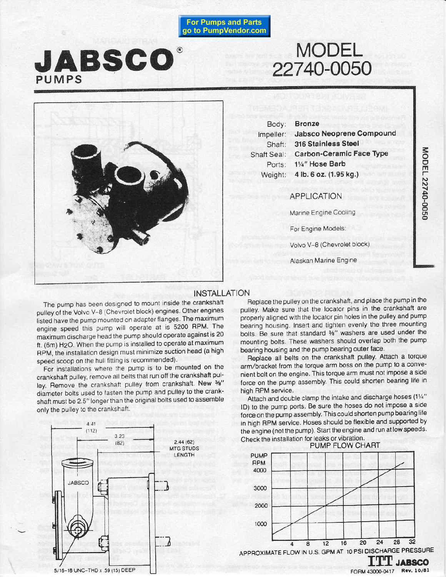**For Pumps and Parts** go to PumpVendor.com

# JABSCO PUMPS

# **MODEL** 22740-0050



Body: Impeller: Shaft: Shaft Seal: Ports: Weight:

**Bronze** Jabsco Neoprene Compound 316 Stainless Steel **Carbon-Ceramic Face Type** 11/4" Hose Barb 4 lb. 6 oz. (1.95 kg.)

MODEL 22740-0050

**APPLICATION** 

Marine Engine Cooling

For Engine Models:

Volvo V-8 (Chevrolet block)

Alaskan Marine Engine

## **INSTALLATION**

The pump has been designed to mount inside the crankshaft pulley of the Volvo V-8 (Chevrolet block) engines. Other engines listed have the pump mounted on adapter flanges. The maximum engine speed this pump will operate at is 5200 RPM. The maximum discharge head the pump should operate against is 20 ft. (6m) H<sub>2</sub>O. When the pump is installed to operate at maximum RPM, the installation design must minimize suction head (a high speed scoop on the hull fitting is recommended).

For installations where the pump is to be mounted on the crankshaft pulley, remove all belts that run off the crankshaft pulley. Remove the crankshaft pulley from crankshaft. New 36" diameter bolts used to fasten the pump and pulley to the crankshaft must be 2.5" longer than the original bolts used to assemble only the pulley to the crankshaft.



Replace the pulley on the crankshaft, and place the pump in the pulley. Make sure that the locator pins in the crankshaft are properly aligned with the locator pin holes in the pulley and pump bearing housing. Insert and tighten evenly the three mounting bolts. Be sure that standard 3%" washers are used under the mounting bolts. These washers should overlap both the pump bearing housing and the pump bearing outer face.

Replace all belts on the crankshaft pulley. Attach a torque arm/bracket from the torque arm boss on the pump to a convenient bolt on the engine. This torque arm must not impose a side force on the pump assembly. This could shorten bearing life in high RPM service.

Attach and double clamp the intake and discharge hoses (11/4" ID) to the pump ports. Be sure the hoses do not impose a side force on the pump assembly. This could shorten pump bearing life in high RPM service. Hoses should be flexible and supported by the engine (not the pump). Start the engine and run at low speeds. Check the installation for leaks or vibration.